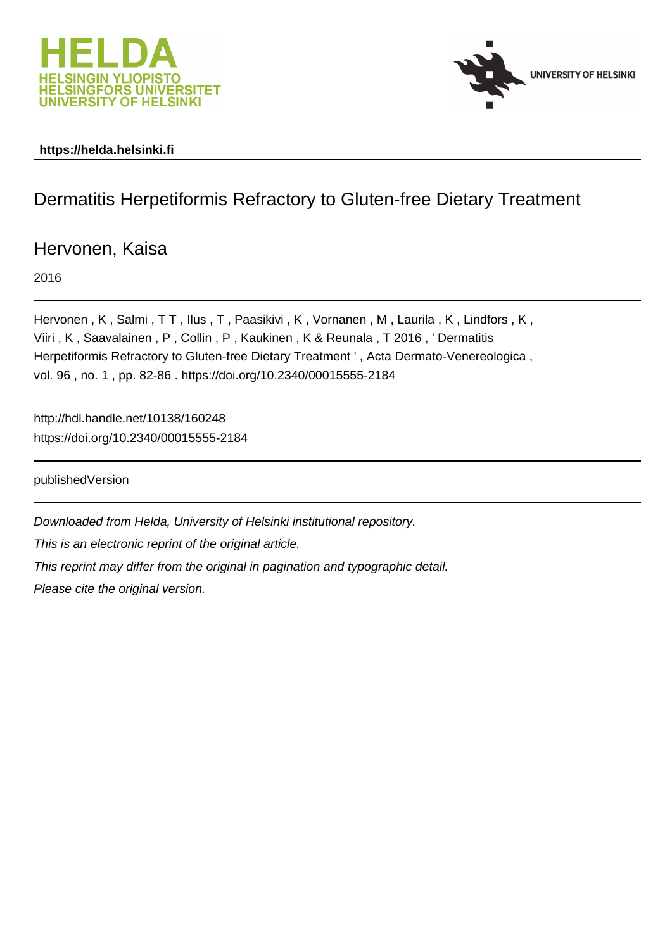



## **https://helda.helsinki.fi**

# Dermatitis Herpetiformis Refractory to Gluten-free Dietary Treatment

Hervonen, Kaisa

2016

Hervonen, K, Salmi, TT, Ilus, T, Paasikivi, K, Vornanen, M, Laurila, K, Lindfors, K, Viiri , K , Saavalainen , P , Collin , P , Kaukinen , K & Reunala , T 2016 , ' Dermatitis Herpetiformis Refractory to Gluten-free Dietary Treatment ' , Acta Dermato-Venereologica , vol. 96 , no. 1 , pp. 82-86 . https://doi.org/10.2340/00015555-2184

http://hdl.handle.net/10138/160248 https://doi.org/10.2340/00015555-2184

publishedVersion

Downloaded from Helda, University of Helsinki institutional repository.

This is an electronic reprint of the original article.

This reprint may differ from the original in pagination and typographic detail.

Please cite the original version.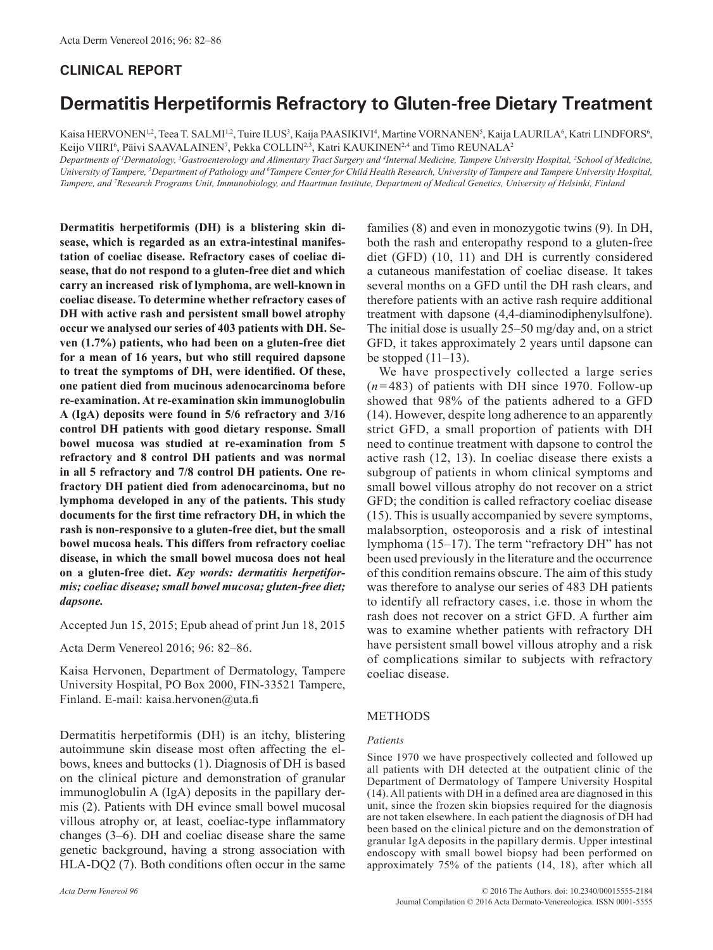## **CLINICAL REPORT**

## **Dermatitis Herpetiformis Refractory to Gluten-free Dietary Treatment**

Kaisa HERVONEN<sup>1,2</sup>, Teea T. SALMI<sup>1,2</sup>, Tuire ILUS<sup>3</sup>, Kaija PAASIKIVI<sup>4</sup>, Martine VORNANEN<sup>5</sup>, Kaija LAURILA<sup>6</sup>, Katri LINDFORS<sup>6</sup>, Keijo VIIRI<sup>6</sup>, Päivi SAAVALAINEN<sup>7</sup>, Pekka COLLIN<sup>2,3</sup>, Katri KAUKINEN<sup>2,4</sup> and Timo REUNALA<sup>2</sup>

*Departments of 1 Dermatology, 3 Gastroenterology and Alimentary Tract Surgery and 4 Internal Medicine, Tampere University Hospital, 2 School of Medicine, University of Tampere, 5 Department of Pathology and 6 Tampere Center for Child Health Research, University of Tampere and Tampere University Hospital, Tampere, and 7 Research Programs Unit, Immunobiology, and Haartman Institute, Department of Medical Genetics, University of Helsinki, Finland*

**Dermatitis herpetiformis (DH) is a blistering skin disease, which is regarded as an extra-intestinal manifestation of coeliac disease. Refractory cases of coeliac disease, that do not respond to a gluten-free diet and which carry an increased risk of lymphoma, are well-known in coeliac disease. To determine whether refractory cases of DH with active rash and persistent small bowel atrophy occur we analysed our series of 403 patients with DH. Seven (1.7%) patients, who had been on a gluten-free diet for a mean of 16 years, but who still required dapsone to treat the symptoms of DH, were identified. Of these, one patient died from mucinous adenocarcinoma before re-examination. At re-examination skin immunoglobulin A (IgA) deposits were found in 5/6 refractory and 3/16 control DH patients with good dietary response. Small bowel mucosa was studied at re-examination from 5 refractory and 8 control DH patients and was normal in all 5 refractory and 7/8 control DH patients. One refractory DH patient died from adenocarcinoma, but no lymphoma developed in any of the patients. This study documents for the first time refractory DH, in which the rash is non-responsive to a gluten-free diet, but the small bowel mucosa heals. This differs from refractory coeliac disease, in which the small bowel mucosa does not heal on a gluten-free diet.** *Key words: dermatitis herpetiformis; coeliac disease; small bowel mucosa; gluten-free diet; dapsone.*

Accepted Jun 15, 2015; Epub ahead of print Jun 18, 2015

Acta Derm Venereol 2016; 96: 82–86.

Kaisa Hervonen, Department of Dermatology, Tampere University Hospital, PO Box 2000, FIN-33521 Tampere, Finland. E-mail: kaisa.hervonen@uta.fi

Dermatitis herpetiformis (DH) is an itchy, blistering autoimmune skin disease most often affecting the elbows, knees and buttocks (1). Diagnosis of DH is based on the clinical picture and demonstration of granular immunoglobulin A (IgA) deposits in the papillary dermis (2). Patients with DH evince small bowel mucosal villous atrophy or, at least, coeliac-type inflammatory changes (3–6). DH and coeliac disease share the same genetic background, having a strong association with HLA-DQ2 (7). Both conditions often occur in the same

families (8) and even in monozygotic twins (9). In DH, both the rash and enteropathy respond to a gluten-free diet (GFD) (10, 11) and DH is currently considered a cutaneous manifestation of coeliac disease. It takes several months on a GFD until the DH rash clears, and therefore patients with an active rash require additional treatment with dapsone (4,4-diaminodiphenylsulfone). The initial dose is usually 25–50 mg/day and, on a strict GFD, it takes approximately 2 years until dapsone can be stopped  $(11-13)$ .

We have prospectively collected a large series  $(n=483)$  of patients with DH since 1970. Follow-up showed that 98% of the patients adhered to a GFD (14). However, despite long adherence to an apparently strict GFD, a small proportion of patients with DH need to continue treatment with dapsone to control the active rash (12, 13). In coeliac disease there exists a subgroup of patients in whom clinical symptoms and small bowel villous atrophy do not recover on a strict GFD; the condition is called refractory coeliac disease (15). This is usually accompanied by severe symptoms, malabsorption, osteoporosis and a risk of intestinal lymphoma (15–17). The term "refractory DH" has not been used previously in the literature and the occurrence of this condition remains obscure. The aim of this study was therefore to analyse our series of 483 DH patients to identify all refractory cases, i.e. those in whom the rash does not recover on a strict GFD. A further aim was to examine whether patients with refractory DH have persistent small bowel villous atrophy and a risk of complications similar to subjects with refractory coeliac disease.

### METHODS

#### *Patients*

Since 1970 we have prospectively collected and followed up all patients with DH detected at the outpatient clinic of the Department of Dermatology of Tampere University Hospital (14). All patients with DH in a defined area are diagnosed in this unit, since the frozen skin biopsies required for the diagnosis are not taken elsewhere. In each patient the diagnosis of DH had been based on the clinical picture and on the demonstration of granular IgA deposits in the papillary dermis. Upper intestinal endoscopy with small bowel biopsy had been performed on approximately 75% of the patients (14, 18), after which all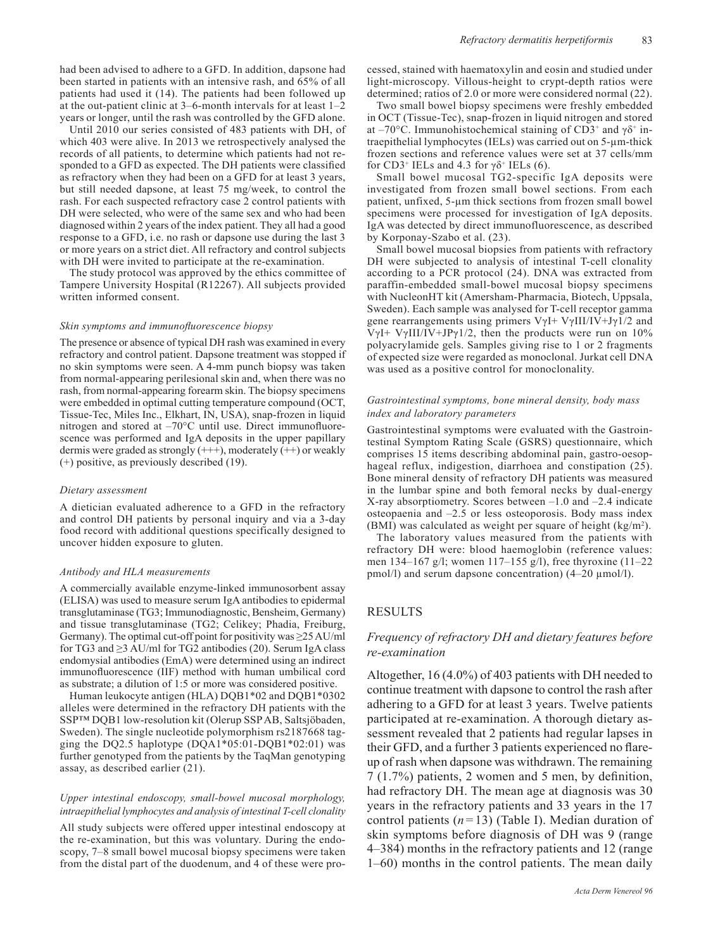had been advised to adhere to a GFD. In addition, dapsone had been started in patients with an intensive rash, and 65% of all patients had used it (14). The patients had been followed up at the out-patient clinic at 3–6-month intervals for at least 1–2 years or longer, until the rash was controlled by the GFD alone.

Until 2010 our series consisted of 483 patients with DH, of which 403 were alive. In 2013 we retrospectively analysed the records of all patients, to determine which patients had not responded to a GFD as expected. The DH patients were classified as refractory when they had been on a GFD for at least 3 years, but still needed dapsone, at least 75 mg/week, to control the rash. For each suspected refractory case 2 control patients with DH were selected, who were of the same sex and who had been diagnosed within 2 years of the index patient. They all had a good response to a GFD, i.e. no rash or dapsone use during the last 3 or more years on a strict diet. All refractory and control subjects with DH were invited to participate at the re-examination.

The study protocol was approved by the ethics committee of Tampere University Hospital (R12267). All subjects provided written informed consent.

#### *Skin symptoms and immunofluorescence biopsy*

The presence or absence of typical DH rash was examined in every refractory and control patient. Dapsone treatment was stopped if no skin symptoms were seen. A 4-mm punch biopsy was taken from normal-appearing perilesional skin and, when there was no rash, from normal-appearing forearm skin. The biopsy specimens were embedded in optimal cutting temperature compound (OCT, Tissue-Tec, Miles Inc., Elkhart, IN, USA), snap-frozen in liquid nitrogen and stored at –70°C until use. Direct immunofluorescence was performed and IgA deposits in the upper papillary dermis were graded as strongly  $(++)$ , moderately  $(++)$  or weakly (+) positive, as previously described (19).

#### *Dietary assessment*

A dietician evaluated adherence to a GFD in the refractory and control DH patients by personal inquiry and via a 3-day food record with additional questions specifically designed to uncover hidden exposure to gluten.

#### *Antibody and HLA measurements*

A commercially available enzyme-linked immunosorbent assay (ELISA) was used to measure serum IgA antibodies to epidermal transglutaminase (TG3; Immunodiagnostic, Bensheim, Germany) and tissue transglutaminase (TG2; Celikey; Phadia, Freiburg, Germany). The optimal cut-off point for positivity was  $\geq$ 25 AU/ml for TG3 and  $\geq$ 3 AU/ml for TG2 antibodies (20). Serum IgA class endomysial antibodies (EmA) were determined using an indirect immunofluorescence (IIF) method with human umbilical cord as substrate; a dilution of 1:5 or more was considered positive.

Human leukocyte antigen (HLA) DQB1\*02 and DQB1\*0302 alleles were determined in the refractory DH patients with the SSP™ DQB1 low-resolution kit (Olerup SSP AB, Saltsjöbaden, Sweden). The single nucleotide polymorphism rs2187668 tagging the DO2.5 haplotype  $(DOA1*05:01-DOB1*02:01)$  was further genotyped from the patients by the TaqMan genotyping assay, as described earlier (21).

#### *Upper intestinal endoscopy, small-bowel mucosal morphology, intraepithelial lymphocytes and analysis of intestinal T-cell clonality*

All study subjects were offered upper intestinal endoscopy at the re-examination, but this was voluntary. During the endoscopy, 7–8 small bowel mucosal biopsy specimens were taken from the distal part of the duodenum, and 4 of these were pro-

cessed, stained with haematoxylin and eosin and studied under light-microscopy. Villous-height to crypt-depth ratios were determined; ratios of 2.0 or more were considered normal (22).

Two small bowel biopsy specimens were freshly embedded in OCT (Tissue-Tec), snap-frozen in liquid nitrogen and stored at –70 $^{\circ}$ C. Immunohistochemical staining of CD3<sup>+</sup> and  $\gamma\delta$ <sup>+</sup> intraepithelial lymphocytes (IELs) was carried out on 5-µm-thick frozen sections and reference values were set at 37 cells/mm for CD3<sup>+</sup> IELs and 4.3 for  $\gamma \delta$ <sup>+</sup> IELs (6).

Small bowel mucosal TG2-specific IgA deposits were investigated from frozen small bowel sections. From each patient, unfixed, 5-µm thick sections from frozen small bowel specimens were processed for investigation of IgA deposits. IgA was detected by direct immunofluorescence, as described by Korponay-Szabo et al. (23).

Small bowel mucosal biopsies from patients with refractory DH were subjected to analysis of intestinal T-cell clonality according to a PCR protocol (24). DNA was extracted from paraffin-embedded small-bowel mucosal biopsy specimens with NucleonHT kit (Amersham-Pharmacia, Biotech, Uppsala, Sweden). Each sample was analysed for T-cell receptor gamma gene rearrangements using primers  $V\gamma I + V\gamma III/IV+J\gamma I/2$  and VγI+ VγIII/IV+JPγ1/2, then the products were run on  $10\%$ polyacrylamide gels. Samples giving rise to 1 or 2 fragments of expected size were regarded as monoclonal. Jurkat cell DNA was used as a positive control for monoclonality.

#### *Gastrointestinal symptoms, bone mineral density, body mass index and laboratory parameters*

Gastrointestinal symptoms were evaluated with the Gastrointestinal Symptom Rating Scale (GSRS) questionnaire, which comprises 15 items describing abdominal pain, gastro-oesophageal reflux, indigestion, diarrhoea and constipation (25). Bone mineral density of refractory DH patients was measured in the lumbar spine and both femoral necks by dual-energy X-ray absorptiometry. Scores between –1.0 and –2.4 indicate osteopaenia and –2.5 or less osteoporosis. Body mass index (BMI) was calculated as weight per square of height  $(kg/m<sup>2</sup>)$ .

The laboratory values measured from the patients with refractory DH were: blood haemoglobin (reference values: men 134–167 g/l; women 117–155 g/l), free thyroxine (11–22 pmol/l) and serum dapsone concentration) (4–20 µmol/l).

## RESULTS

## *Frequency of refractory DH and dietary features before re-examination*

Altogether, 16 (4.0%) of 403 patients with DH needed to continue treatment with dapsone to control the rash after adhering to a GFD for at least 3 years. Twelve patients participated at re-examination. A thorough dietary assessment revealed that 2 patients had regular lapses in their GFD, and a further 3 patients experienced no flareup of rash when dapsone was withdrawn. The remaining 7 (1.7%) patients, 2 women and 5 men, by definition, had refractory DH. The mean age at diagnosis was 30 years in the refractory patients and 33 years in the 17 control patients  $(n=13)$  (Table I). Median duration of skin symptoms before diagnosis of DH was 9 (range 4–384) months in the refractory patients and 12 (range 1–60) months in the control patients. The mean daily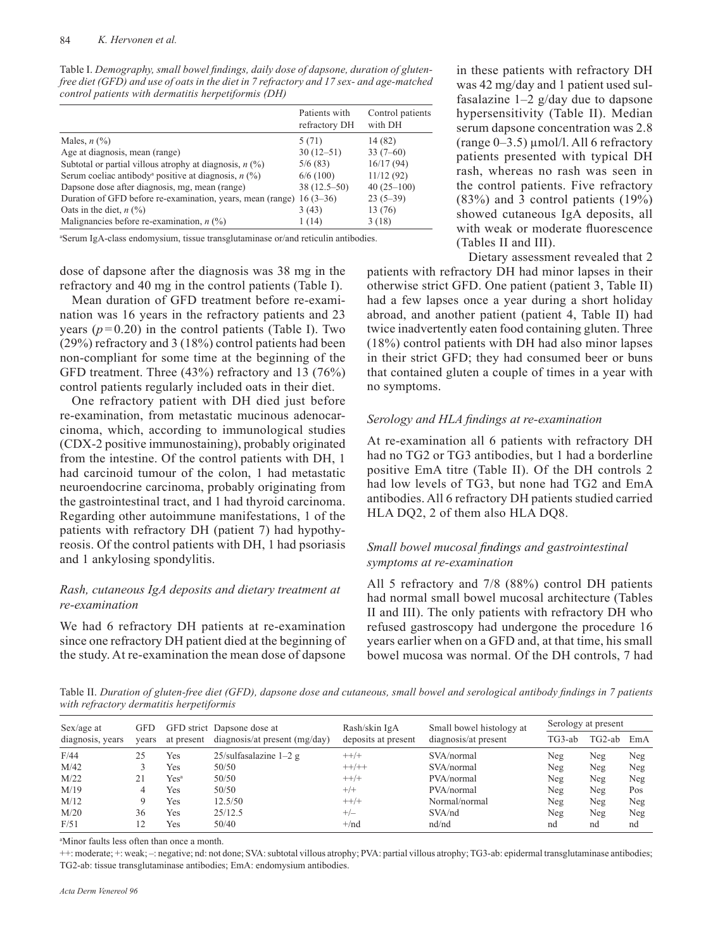Table I. *Demography, small bowel findings, daily dose of dapsone, duration of glutenfree diet (GFD) and use of oats in the diet in 7 refractory and 17 sex- and age-matched control patients with dermatitis herpetiformis (DH)*

|                                                                      | Patients with<br>refractory DH | Control patients<br>with DH |
|----------------------------------------------------------------------|--------------------------------|-----------------------------|
| Males, $n$ $(\%)$                                                    | 5(71)                          | 14 (82)                     |
| Age at diagnosis, mean (range)                                       | $30(12-51)$                    | $33(7-60)$                  |
| Subtotal or partial villous atrophy at diagnosis, $n$ (%)            | 5/6(83)                        | 16/17(94)                   |
| Serum coeliac antibody <sup>a</sup> positive at diagnosis, $n$ (%)   | 6/6(100)                       | 11/12(92)                   |
| Dapsone dose after diagnosis, mg, mean (range)                       | $38(12.5-50)$                  | $40(25-100)$                |
| Duration of GFD before re-examination, years, mean (range) 16 (3–36) |                                | $23(5-39)$                  |
| Oats in the diet, $n$ (%)                                            | 3(43)                          | 13 (76)                     |
| Malignancies before re-examination, $n$ (%)                          | 1(14)                          | 3(18)                       |

a Serum IgA-class endomysium, tissue transglutaminase or/and reticulin antibodies.

dose of dapsone after the diagnosis was 38 mg in the refractory and 40 mg in the control patients (Table I).

Mean duration of GFD treatment before re-examination was 16 years in the refractory patients and 23 years  $(p=0.20)$  in the control patients (Table I). Two (29%) refractory and 3 (18%) control patients had been non-compliant for some time at the beginning of the GFD treatment. Three (43%) refractory and 13 (76%) control patients regularly included oats in their diet.

One refractory patient with DH died just before re-examination, from metastatic mucinous adenocarcinoma, which, according to immunological studies (CDX-2 positive immunostaining), probably originated from the intestine. Of the control patients with DH, 1 had carcinoid tumour of the colon, 1 had metastatic neuroendocrine carcinoma, probably originating from the gastrointestinal tract, and 1 had thyroid carcinoma. Regarding other autoimmune manifestations, 1 of the patients with refractory DH (patient 7) had hypothyreosis. Of the control patients with DH, 1 had psoriasis and 1 ankylosing spondylitis.

## *Rash, cutaneous IgA deposits and dietary treatment at re-examination*

We had 6 refractory DH patients at re-examination since one refractory DH patient died at the beginning of the study. At re-examination the mean dose of dapsone

in these patients with refractory DH was 42 mg/day and 1 patient used sulfasalazine  $1-2$  g/day due to dapsone hypersensitivity (Table II). Median serum dapsone concentration was 2.8  $(range 0-3.5) \mu mol/l$ . All 6 refractory patients presented with typical DH rash, whereas no rash was seen in the control patients. Five refractory (83%) and 3 control patients (19%) showed cutaneous IgA deposits, all with weak or moderate fluorescence (Tables II and III).

Dietary assessment revealed that 2 patients with refractory DH had minor lapses in their otherwise strict GFD. One patient (patient 3, Table II) had a few lapses once a year during a short holiday abroad, and another patient (patient 4, Table II) had twice inadvertently eaten food containing gluten. Three (18%) control patients with DH had also minor lapses in their strict GFD; they had consumed beer or buns that contained gluten a couple of times in a year with no symptoms.

#### *Serology and HLA findings at re-examination*

At re-examination all 6 patients with refractory DH had no TG2 or TG3 antibodies, but 1 had a borderline positive EmA titre (Table II). Of the DH controls 2 had low levels of TG3, but none had TG2 and EmA antibodies. All 6 refractory DH patients studied carried HLA DQ2, 2 of them also HLA DQ8.

## *Small bowel mucosal findings and gastrointestinal symptoms at re-examination*

All 5 refractory and 7/8 (88%) control DH patients had normal small bowel mucosal architecture (Tables II and III). The only patients with refractory DH who refused gastroscopy had undergone the procedure 16 years earlier when on a GFD and, at that time, his small bowel mucosa was normal. Of the DH controls, 7 had

Table II. *Duration of gluten-free diet (GFD), dapsone dose and cutaneous, small bowel and serological antibody findings in 7 patients with refractory dermatitis herpetiformis*

| $Sex/age$ at<br>diagnosis, years | <b>GFD</b><br>vears | at present       | GFD strict Dapsone dose at<br>diagnosis/at present (mg/day) | Rash/skin IgA<br>deposits at present | Small bowel histology at<br>diagnosis/at present | Serology at present |        |     |
|----------------------------------|---------------------|------------------|-------------------------------------------------------------|--------------------------------------|--------------------------------------------------|---------------------|--------|-----|
|                                  |                     |                  |                                                             |                                      |                                                  | TG3-ab              | TG2-ab | EmA |
| F/44                             | 25                  | Yes              | $25$ /sulfasalazine $1-2$ g                                 | $++/+$                               | SVA/normal                                       | Neg                 | Neg    | Neg |
| M/42                             |                     | Yes              | 50/50                                                       | $++/++$                              | SVA/normal                                       | Neg                 | Neg    | Neg |
| M/22                             |                     | Yes <sup>a</sup> | 50/50                                                       | $++/+$                               | PVA/normal                                       | Neg                 | Neg    | Neg |
| M/19                             | 4                   | Yes              | 50/50                                                       | $^{+/+}$                             | PVA/normal                                       | Neg                 | Neg    | Pos |
| M/12                             | Q                   | Yes              | 12.5/50                                                     | $++/+$                               | Normal/normal                                    | Neg                 | Neg    | Neg |
| M/20                             | 36                  | Yes              | 25/12.5                                                     | $+/-$                                | SVA/nd                                           | Neg                 | Neg    | Neg |
| F/51                             | 12                  | Yes              | 50/40                                                       | $+/nd$                               | nd/nd                                            | nd                  | nd     | nd  |

a Minor faults less often than once a month.

++: moderate; +: weak; –: negative; nd: not done; SVA: subtotal villous atrophy; PVA: partial villous atrophy; TG3-ab: epidermal transglutaminase antibodies; TG2-ab: tissue transglutaminase antibodies; EmA: endomysium antibodies.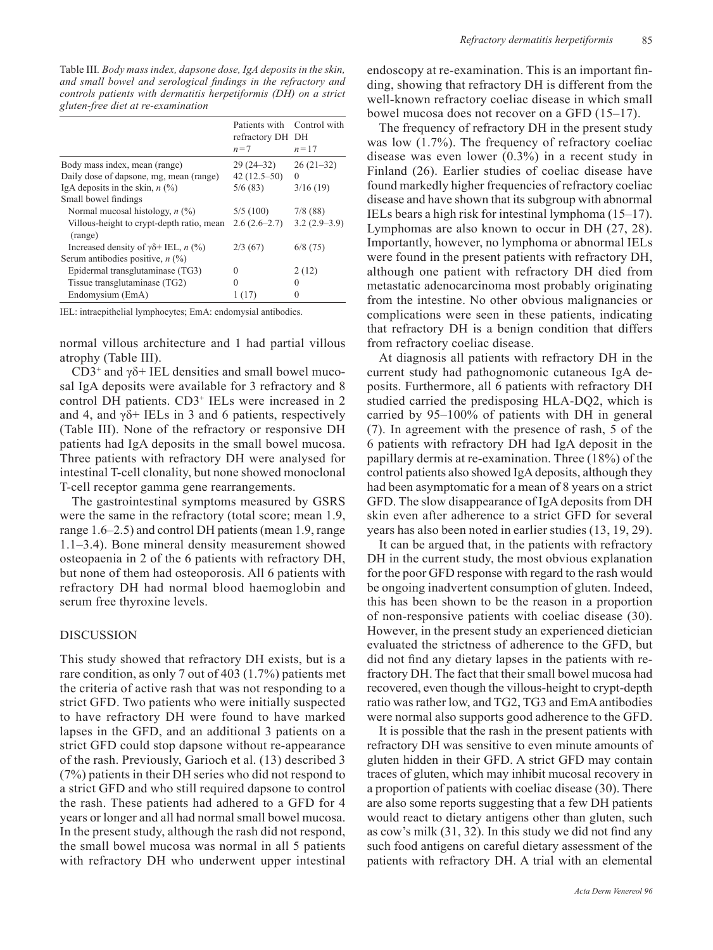Table III*. Body mass index, dapsone dose, IgA deposits in the skin, and small bowel and serological findings in the refractory and controls patients with dermatitis herpetiformis (DH) on a strict gluten-free diet at re-examination*

|                                                         | Patients with Control with<br>refractory DH DH<br>$n=7$ | $n=17$         |
|---------------------------------------------------------|---------------------------------------------------------|----------------|
| Body mass index, mean (range)                           | $29(24-32)$                                             | $26(21-32)$    |
| Daily dose of dapsone, mg, mean (range)                 | $42(12.5-50)$                                           | $\Omega$       |
| IgA deposits in the skin, $n$ (%)                       | 5/6(83)                                                 | 3/16(19)       |
| Small bowel findings                                    |                                                         |                |
| Normal mucosal histology, $n$ (%)                       | 5/5(100)                                                | 7/8(88)        |
| Villous-height to crypt-depth ratio, mean<br>(range)    | $2.6(2.6-2.7)$                                          | $3.2(2.9-3.9)$ |
| Increased density of $\gamma\delta$ + IEL, <i>n</i> (%) | 2/3(67)                                                 | 6/8(75)        |
| Serum antibodies positive, $n$ (%)                      |                                                         |                |
| Epidermal transglutaminase (TG3)                        | $\Omega$                                                | 2(12)          |
| Tissue transglutaminase (TG2)                           | 0                                                       | $\theta$       |
| Endomysium (EmA)                                        |                                                         | $\Omega$       |

IEL: intraepithelial lymphocytes; EmA: endomysial antibodies.

normal villous architecture and 1 had partial villous atrophy (Table III).

 $CD3^+$  and  $\gamma\delta$ + IEL densities and small bowel mucosal IgA deposits were available for 3 refractory and 8 control DH patients. CD3+ IELs were increased in 2 and 4, and  $\gamma\delta$ + IELs in 3 and 6 patients, respectively (Table III). None of the refractory or responsive DH patients had IgA deposits in the small bowel mucosa. Three patients with refractory DH were analysed for intestinal T-cell clonality, but none showed monoclonal T-cell receptor gamma gene rearrangements.

The gastrointestinal symptoms measured by GSRS were the same in the refractory (total score; mean 1.9, range 1.6–2.5) and control DH patients (mean 1.9, range 1.1–3.4). Bone mineral density measurement showed osteopaenia in 2 of the 6 patients with refractory DH, but none of them had osteoporosis. All 6 patients with refractory DH had normal blood haemoglobin and serum free thyroxine levels.

## DISCUSSION

This study showed that refractory DH exists, but is a rare condition, as only 7 out of 403 (1.7%) patients met the criteria of active rash that was not responding to a strict GFD. Two patients who were initially suspected to have refractory DH were found to have marked lapses in the GFD, and an additional 3 patients on a strict GFD could stop dapsone without re-appearance of the rash. Previously, Garioch et al. (13) described 3 (7%) patients in their DH series who did not respond to a strict GFD and who still required dapsone to control the rash. These patients had adhered to a GFD for 4 years or longer and all had normal small bowel mucosa. In the present study, although the rash did not respond, the small bowel mucosa was normal in all 5 patients with refractory DH who underwent upper intestinal endoscopy at re-examination. This is an important finding, showing that refractory DH is different from the well-known refractory coeliac disease in which small bowel mucosa does not recover on a GFD (15–17).

The frequency of refractory DH in the present study was low  $(1.7\%)$ . The frequency of refractory coeliac disease was even lower (0.3%) in a recent study in Finland (26). Earlier studies of coeliac disease have found markedly higher frequencies of refractory coeliac disease and have shown that its subgroup with abnormal IELs bears a high risk for intestinal lymphoma (15–17). Lymphomas are also known to occur in DH (27, 28). Importantly, however, no lymphoma or abnormal IELs were found in the present patients with refractory DH, although one patient with refractory DH died from metastatic adenocarcinoma most probably originating from the intestine. No other obvious malignancies or complications were seen in these patients, indicating that refractory DH is a benign condition that differs from refractory coeliac disease.

At diagnosis all patients with refractory DH in the current study had pathognomonic cutaneous IgA deposits. Furthermore, all 6 patients with refractory DH studied carried the predisposing HLA-DQ2, which is carried by 95–100% of patients with DH in general (7). In agreement with the presence of rash, 5 of the 6 patients with refractory DH had IgA deposit in the papillary dermis at re-examination. Three (18%) of the control patients also showed IgA deposits, although they had been asymptomatic for a mean of 8 years on a strict GFD. The slow disappearance of IgA deposits from DH skin even after adherence to a strict GFD for several years has also been noted in earlier studies (13, 19, 29).

It can be argued that, in the patients with refractory DH in the current study, the most obvious explanation for the poor GFD response with regard to the rash would be ongoing inadvertent consumption of gluten. Indeed, this has been shown to be the reason in a proportion of non-responsive patients with coeliac disease (30). However, in the present study an experienced dietician evaluated the strictness of adherence to the GFD, but did not find any dietary lapses in the patients with refractory DH. The fact that their small bowel mucosa had recovered, even though the villous-height to crypt-depth ratio was rather low, and TG2, TG3 and EmA antibodies were normal also supports good adherence to the GFD.

It is possible that the rash in the present patients with refractory DH was sensitive to even minute amounts of gluten hidden in their GFD. A strict GFD may contain traces of gluten, which may inhibit mucosal recovery in a proportion of patients with coeliac disease (30). There are also some reports suggesting that a few DH patients would react to dietary antigens other than gluten, such as cow's milk (31, 32). In this study we did not find any such food antigens on careful dietary assessment of the patients with refractory DH. A trial with an elemental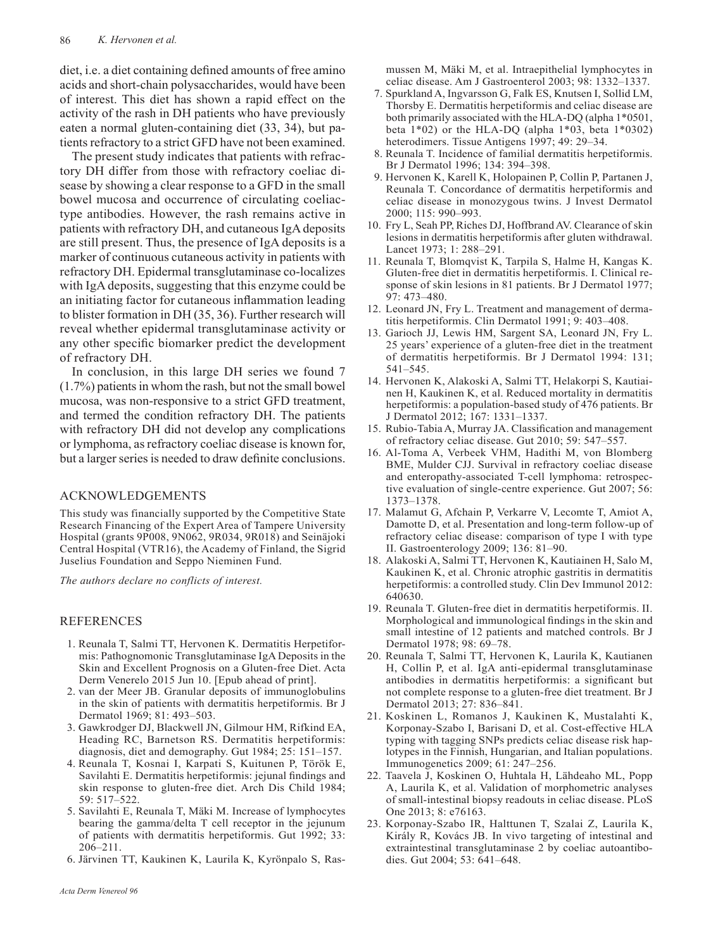diet, i.e. a diet containing defined amounts of free amino acids and short-chain polysaccharides, would have been of interest. This diet has shown a rapid effect on the activity of the rash in DH patients who have previously eaten a normal gluten-containing diet (33, 34), but patients refractory to a strict GFD have not been examined.

The present study indicates that patients with refractory DH differ from those with refractory coeliac disease by showing a clear response to a GFD in the small bowel mucosa and occurrence of circulating coeliactype antibodies. However, the rash remains active in patients with refractory DH, and cutaneous IgA deposits are still present. Thus, the presence of IgA deposits is a marker of continuous cutaneous activity in patients with refractory DH. Epidermal transglutaminase co-localizes with IgA deposits, suggesting that this enzyme could be an initiating factor for cutaneous inflammation leading to blister formation in DH (35, 36). Further research will reveal whether epidermal transglutaminase activity or any other specific biomarker predict the development of refractory DH.

In conclusion, in this large DH series we found 7 (1.7%) patients in whom the rash, but not the small bowel mucosa, was non-responsive to a strict GFD treatment, and termed the condition refractory DH. The patients with refractory DH did not develop any complications or lymphoma, as refractory coeliac disease is known for, but a larger series is needed to draw definite conclusions.

## ACKNOWLEDGEMENTS

This study was financially supported by the Competitive State Research Financing of the Expert Area of Tampere University Hospital (grants 9P008, 9N062, 9R034, 9R018) and Seinäjoki Central Hospital (VTR16), the Academy of Finland, the Sigrid Juselius Foundation and Seppo Nieminen Fund.

*The authors declare no conflicts of interest.*

## **REFERENCES**

- 1. Reunala T, Salmi TT, Hervonen K. Dermatitis Herpetiformis: Pathognomonic Transglutaminase IgA Deposits in the Skin and Excellent Prognosis on a Gluten-free Diet. Acta Derm Venerelo 2015 Jun 10. [Epub ahead of print].
- 2. van der Meer JB. Granular deposits of immunoglobulins in the skin of patients with dermatitis herpetiformis. Br J Dermatol 1969; 81: 493–503.
- 3. Gawkrodger DJ, Blackwell JN, Gilmour HM, Rifkind EA, Heading RC, Barnetson RS. Dermatitis herpetiformis: diagnosis, diet and demography. Gut 1984; 25: 151–157.
- 4. Reunala T, Kosnai I, Karpati S, Kuitunen P, Török E, Savilahti E. Dermatitis herpetiformis: jejunal findings and skin response to gluten-free diet. Arch Dis Child 1984; 59: 517–522.
- 5. Savilahti E, Reunala T, Mäki M. Increase of lymphocytes bearing the gamma/delta T cell receptor in the jejunum of patients with dermatitis herpetiformis. Gut 1992; 33: 206–211.
- 6. Järvinen TT, Kaukinen K, Laurila K, Kyrönpalo S, Ras-

mussen M, Mäki M, et al. Intraepithelial lymphocytes in celiac disease. Am J Gastroenterol 2003; 98: 1332–1337.

- 7. Spurkland A, Ingvarsson G, Falk ES, Knutsen I, Sollid LM, Thorsby E. Dermatitis herpetiformis and celiac disease are both primarily associated with the HLA-DQ (alpha 1\*0501, beta  $1*02$ ) or the HLA-DQ (alpha  $1*03$ , beta  $1*0302$ ) heterodimers. Tissue Antigens 1997; 49: 29–34.
- 8. Reunala T. Incidence of familial dermatitis herpetiformis. Br J Dermatol 1996; 134: 394–398.
- 9. Hervonen K, Karell K, Holopainen P, Collin P, Partanen J, Reunala T. Concordance of dermatitis herpetiformis and celiac disease in monozygous twins. J Invest Dermatol 2000; 115: 990–993.
- 10. Fry L, Seah PP, Riches DJ, Hoffbrand AV. Clearance of skin lesions in dermatitis herpetiformis after gluten withdrawal. Lancet 1973; 1: 288–291.
- 11. Reunala T, Blomqvist K, Tarpila S, Halme H, Kangas K. Gluten-free diet in dermatitis herpetiformis. I. Clinical response of skin lesions in 81 patients. Br J Dermatol 1977; 97: 473–480.
- 12. Leonard JN, Fry L. Treatment and management of dermatitis herpetiformis. Clin Dermatol 1991; 9: 403–408.
- 13. Garioch JJ, Lewis HM, Sargent SA, Leonard JN, Fry L. 25 years' experience of a gluten-free diet in the treatment of dermatitis herpetiformis. Br J Dermatol 1994: 131; 541–545.
- 14. Hervonen K, Alakoski A, Salmi TT, Helakorpi S, Kautiainen H, Kaukinen K, et al. Reduced mortality in dermatitis herpetiformis: a population-based study of 476 patients. Br J Dermatol 2012; 167: 1331–1337.
- 15. Rubio-Tabia A, Murray JA. Classification and management of refractory celiac disease. Gut 2010; 59: 547–557.
- 16. Al-Toma A, Verbeek VHM, Hadithi M, von Blomberg BME, Mulder CJJ. Survival in refractory coeliac disease and enteropathy-associated T-cell lymphoma: retrospective evaluation of single-centre experience. Gut 2007; 56: 1373–1378.
- 17. Malamut G, Afchain P, Verkarre V, Lecomte T, Amiot A, Damotte D, et al. Presentation and long-term follow-up of refractory celiac disease: comparison of type I with type II. Gastroenterology 2009; 136: 81–90.
- 18. Alakoski A, Salmi TT, Hervonen K, Kautiainen H, Salo M, Kaukinen K, et al. Chronic atrophic gastritis in dermatitis herpetiformis: a controlled study. Clin Dev Immunol 2012: 640630.
- 19. Reunala T. Gluten-free diet in dermatitis herpetiformis. II. Morphological and immunological findings in the skin and small intestine of 12 patients and matched controls. Br J Dermatol 1978; 98: 69–78.
- 20. Reunala T, Salmi TT, Hervonen K, Laurila K, Kautianen H, Collin P, et al. IgA anti-epidermal transglutaminase antibodies in dermatitis herpetiformis: a significant but not complete response to a gluten-free diet treatment. Br J Dermatol 2013; 27: 836–841.
- 21. Koskinen L, Romanos J, Kaukinen K, Mustalahti K, Korponay-Szabo I, Barisani D, et al. Cost-effective HLA typing with tagging SNPs predicts celiac disease risk haplotypes in the Finnish, Hungarian, and Italian populations. Immunogenetics 2009; 61: 247–256.
- 22. Taavela J, Koskinen O, Huhtala H, Lähdeaho ML, Popp A, Laurila K, et al. Validation of morphometric analyses of small-intestinal biopsy readouts in celiac disease. PLoS One 2013; 8: e76163.
- 23. Korponay-Szabo IR, Halttunen T, Szalai Z, Laurila K, Király R, Kovács JB. In vivo targeting of intestinal and extraintestinal transglutaminase 2 by coeliac autoantibodies. Gut 2004; 53: 641–648.